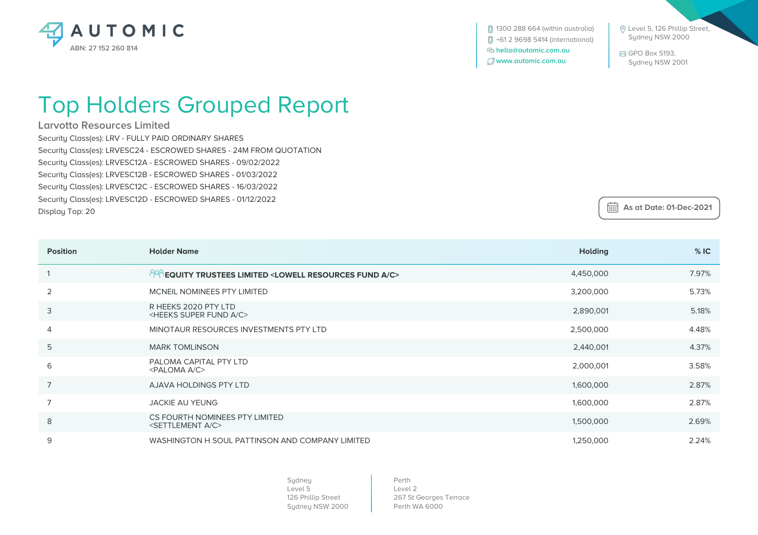

 Level 5, 126 Phillip Street, Sydney NSW 2000

 GPO Box 5193, Sydney NSW 2001

 **As at Date: 01-Dec-2021**

## Top Holders Grouped Report

**Larvotto Resources Limited**

Security Class(es): LRV - FULLY PAID ORDINARY SHARES Security Class(es): LRVESC24 - ESCROWED SHARES - 24M FROM QUOTATION Security Class(es): LRVESC12A - ESCROWED SHARES - 09/02/2022 Security Class(es): LRVESC12B - ESCROWED SHARES - 01/03/2022 Security Class(es): LRVESC12C - ESCROWED SHARES - 16/03/2022 Security Class(es): LRVESC12D - ESCROWED SHARES - 01/12/2022 Display Top: 20

| <b>Position</b> | <b>Holder Name</b>                                                                | <b>Holding</b> | %IC   |
|-----------------|-----------------------------------------------------------------------------------|----------------|-------|
|                 | $^{128}$ EQUITY TRUSTEES LIMITED <lowell a="" c="" fund="" resources=""></lowell> | 4,450,000      | 7.97% |
| 2               | MCNEIL NOMINEES PTY LIMITED                                                       | 3,200,000      | 5.73% |
| 3               | R HEEKS 2020 PTY LTD<br><heeks a="" c="" fund="" super=""></heeks>                | 2,890,001      | 5.18% |
| $\overline{4}$  | MINOTAUR RESOURCES INVESTMENTS PTY LTD                                            | 2,500,000      | 4.48% |
| 5               | <b>MARK TOMLINSON</b>                                                             | 2,440,001      | 4.37% |
| 6               | PALOMA CAPITAL PTY LTD<br><paloma a="" c=""></paloma>                             | 2,000,001      | 3.58% |
| $\overline{7}$  | AJAVA HOLDINGS PTY LTD                                                            | 1,600,000      | 2.87% |
| $\overline{7}$  | <b>JACKIE AU YEUNG</b>                                                            | 1,600,000      | 2.87% |
| 8               | CS FOURTH NOMINEES PTY LIMITED<br><settlement a="" c=""></settlement>             | 1,500,000      | 2.69% |
| 9               | WASHINGTON H SOUL PATTINSON AND COMPANY LIMITED                                   | 1,250,000      | 2.24% |

Sydney Level 5 126 Phillip Street Sydney NSW 2000

Perth Level 2 267 St Georges Terrace Perth WA 6000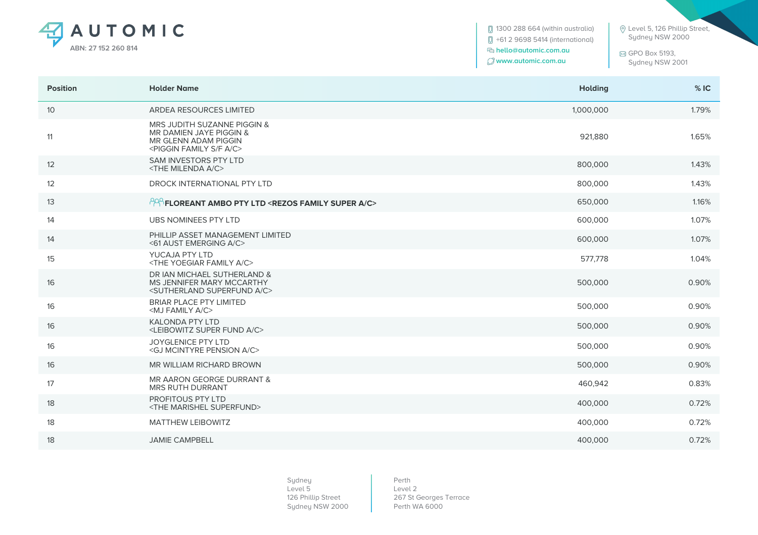

1300 288 664 (within australia) +61 2 9698 5414 (international)  **hello@automic.com.au www.automic.com.au**

 Level 5, 126 Phillip Street, Sydney NSW 2000

 GPO Box 5193, Sydney NSW 2001

| <b>Position</b> | <b>Holder Name</b>                                                                                                                | <b>Holding</b> | %IC   |
|-----------------|-----------------------------------------------------------------------------------------------------------------------------------|----------------|-------|
| $10$            | ARDEA RESOURCES LIMITED                                                                                                           | 1,000,000      | 1.79% |
| 11              | MRS JUDITH SUZANNE PIGGIN &<br>MR DAMIEN JAYE PIGGIN &<br>MR GLENN ADAM PIGGIN<br><piggin a="" c="" f="" family="" s=""></piggin> | 921.880        | 1.65% |
| 12              | <b>SAM INVESTORS PTY LTD</b><br><the a="" c="" milenda=""></the>                                                                  | 800,000        | 1.43% |
| 12              | DROCK INTERNATIONAL PTY LTD                                                                                                       | 800,000        | 1.43% |
| 13              | PPP FLOREANT AMBO PTY LTD <rezos a="" c="" family="" super=""></rezos>                                                            | 650,000        | 1.16% |
| 14              | <b>UBS NOMINEES PTY LTD</b>                                                                                                       | 600,000        | 1.07% |
| 14              | PHILLIP ASSET MANAGEMENT LIMITED<br><61 AUST EMERGING A/C>                                                                        | 600,000        | 1.07% |
| 15              | YUCAJA PTY LTD<br><the a="" c="" family="" yoegiar=""></the>                                                                      | 577,778        | 1.04% |
| 16              | DR IAN MICHAEL SUTHERLAND &<br>MS JENNIFER MARY MCCARTHY<br><sutherland a="" c="" superfund=""></sutherland>                      | 500,000        | 0.90% |
| 16              | <b>BRIAR PLACE PTY LIMITED</b><br><mj a="" c="" family=""></mj>                                                                   | 500,000        | 0.90% |
| 16              | <b>KALONDA PTY LTD</b><br><leibowitz a="" c="" fund="" super=""></leibowitz>                                                      | 500,000        | 0.90% |
| 16              | <b>JOYGLENICE PTY LTD</b><br><gj a="" c="" mcintyre="" pension=""></gj>                                                           | 500,000        | 0.90% |
| 16              | MR WILLIAM RICHARD BROWN                                                                                                          | 500,000        | 0.90% |
| 17              | MR AARON GEORGE DURRANT &<br>MRS RUTH DURRANT                                                                                     | 460,942        | 0.83% |
| 18              | <b>PROFITOUS PTY LTD</b><br><the marishel="" superfund=""></the>                                                                  | 400,000        | 0.72% |
| 18              | <b>MATTHEW LEIBOWITZ</b>                                                                                                          | 400,000        | 0.72% |
| 18              | <b>JAMIE CAMPBELL</b>                                                                                                             | 400,000        | 0.72% |
|                 |                                                                                                                                   |                |       |

Sydney Level 5 126 Phillip Street Sydney NSW 2000

Perth Level 2 267 St Georges Terrace Perth WA 6000